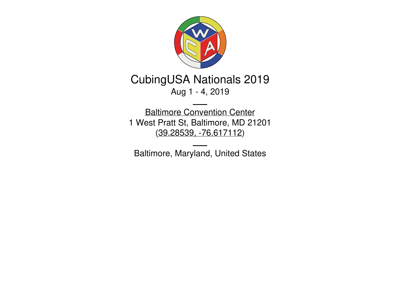

# CubingUSA Nationals 2019 Aug 1 - 4, 2019

Baltimore [Convention](http://www.bccenter.org/) Center 1 West Pratt St, Baltimore, MD 21201 (39.28539, [-76.617112](https://www.google.com/maps/place/39.28539,-76.617112))

Baltimore, Maryland, United States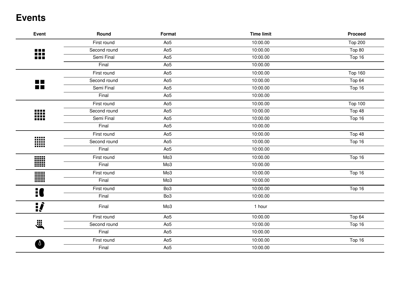### **Events**

| Event          | Round        | Format          | <b>Time limit</b> | <b>Proceed</b> |
|----------------|--------------|-----------------|-------------------|----------------|
|                | First round  | Ao <sub>5</sub> | 10:00.00          | <b>Top 200</b> |
| ₩              | Second round | Ao <sub>5</sub> | 10:00.00          | Top 80         |
|                | Semi Final   | Ao <sub>5</sub> | 10:00.00          | Top 16         |
|                | Final        | Ao <sub>5</sub> | 10:00.00          |                |
|                | First round  | Ao <sub>5</sub> | 10:00.00          | <b>Top 160</b> |
| $\blacksquare$ | Second round | Ao <sub>5</sub> | 10:00.00          | Top 64         |
| īī             | Semi Final   | Ao <sub>5</sub> | 10:00.00          | Top 16         |
|                | Final        | Ao <sub>5</sub> | 10:00.00          |                |
|                | First round  | Ao <sub>5</sub> | 10:00.00          | <b>Top 100</b> |
| ▒              | Second round | Ao <sub>5</sub> | 10:00.00          | Top 48         |
|                | Semi Final   | Ao <sub>5</sub> | 10:00.00          | Top 16         |
|                | Final        | Ao <sub>5</sub> | 10:00.00          |                |
|                | First round  | Ao <sub>5</sub> | 10:00.00          | Top 48         |
| W              | Second round | Ao <sub>5</sub> | 10:00.00          | Top 16         |
|                | Final        | Ao <sub>5</sub> | 10:00.00          |                |
|                | First round  | Mo <sub>3</sub> | 10:00.00          | Top 16         |
|                | Final        | Mo <sub>3</sub> | 10:00.00          |                |
| W              | First round  | Mo <sub>3</sub> | 10:00.00          | Top 16         |
|                | Final        | Mo3             | 10:00.00          |                |
| 1              | First round  | Bo <sub>3</sub> | 10:00.00          | Top 16         |
|                | Final        | Bo <sub>3</sub> | 10:00.00          |                |
| <u>ij</u>      | Final        | Mo <sub>3</sub> | 1 hour            |                |
|                | First round  | Ao <sub>5</sub> | 10:00.00          | Top 64         |
| <b>E</b>       | Second round | Ao <sub>5</sub> | 10:00.00          | Top 16         |
|                | Final        | Ao <sub>5</sub> | 10:00.00          |                |
|                | First round  | Ao <sub>5</sub> | 10:00.00          | Top 16         |
|                | Final        | Ao <sub>5</sub> | 10:00.00          |                |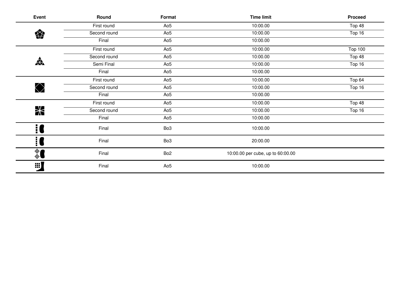| Event                | Round        | Format          | <b>Time limit</b>                 | Proceed        |
|----------------------|--------------|-----------------|-----------------------------------|----------------|
|                      | First round  | Ao <sub>5</sub> | 10:00.00                          | Top 48         |
| 樂                    | Second round | Ao <sub>5</sub> | 10:00.00                          | Top 16         |
|                      | Final        | Ao <sub>5</sub> | 10:00.00                          |                |
|                      | First round  | Ao <sub>5</sub> | 10:00.00                          | <b>Top 100</b> |
|                      | Second round | Ao <sub>5</sub> | 10:00.00                          | Top 48         |
| $\frac{1}{\sqrt{2}}$ | Semi Final   | Ao <sub>5</sub> | 10:00.00                          | Top 16         |
|                      | Final        | Ao <sub>5</sub> | 10:00.00                          |                |
|                      | First round  | Ao <sub>5</sub> | 10:00.00                          | Top 64         |
| $\bigotimes$         | Second round | Ao <sub>5</sub> | 10:00.00                          | Top 16         |
|                      | Final        | Ao <sub>5</sub> | 10:00.00                          |                |
|                      | First round  | Ao <sub>5</sub> | 10:00.00                          | Top 48         |
| <b>X</b>             | Second round | Ao <sub>5</sub> | 10:00.00                          | Top 16         |
|                      | Final        | Ao <sub>5</sub> | 10:00.00                          |                |
| $\frac{1}{2}$        | Final        | Bo <sub>3</sub> | 10:00.00                          |                |
| i (                  | Final        | Bo <sub>3</sub> | 20:00.00                          |                |
| ै                    | Final        | Bo <sub>2</sub> | 10:00.00 per cube, up to 60:00.00 |                |
| 83)                  | Final        | Ao <sub>5</sub> | 10:00.00                          |                |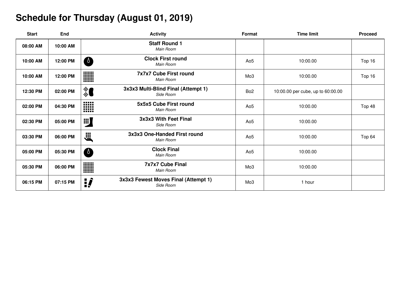# **Schedule for Thursday (August 01, 2019)**

| <b>Start</b> | End      |                | <b>Activity</b>                                   | Format          | <b>Time limit</b>                 | <b>Proceed</b> |
|--------------|----------|----------------|---------------------------------------------------|-----------------|-----------------------------------|----------------|
| 08:00 AM     | 10:00 AM |                | <b>Staff Round 1</b><br>Main Room                 |                 |                                   |                |
| 10:00 AM     | 12:00 PM | $\sqrt{2}$     | <b>Clock First round</b><br>Main Room             | Ao <sub>5</sub> | 10:00.00                          | Top 16         |
| 10:00 AM     | 12:00 PM | W              | <b>7x7x7 Cube First round</b><br>Main Room        | Mo <sub>3</sub> | 10:00.00                          | Top 16         |
| 12:30 PM     | 02:00 PM | ै              | 3x3x3 Multi-Blind Final (Attempt 1)<br>Side Room  | Bo <sub>2</sub> | 10:00.00 per cube, up to 60:00.00 |                |
| 02:00 PM     | 04:30 PM | <b>HH</b><br>m | 5x5x5 Cube First round<br>Main Room               | Ao <sub>5</sub> | 10:00.00                          | Top 48         |
| 02:30 PM     | 05:00 PM | 88)            | 3x3x3 With Feet Final<br>Side Room                | Ao <sub>5</sub> | 10:00.00                          |                |
| 03:30 PM     | 06:00 PM | jii<br>Ö       | 3x3x3 One-Handed First round<br>Main Room         | Ao <sub>5</sub> | 10:00.00                          | Top 64         |
| 05:00 PM     | 05:30 PM | $\sqrt{2}$     | <b>Clock Final</b><br>Main Room                   | Ao <sub>5</sub> | 10:00.00                          |                |
| 05:30 PM     | 06:00 PM | W<br>          | <b>7x7x7 Cube Final</b><br>Main Room              | Mo <sub>3</sub> | 10:00.00                          |                |
| 06:15 PM     | 07:15 PM | <u>:</u>       | 3x3x3 Fewest Moves Final (Attempt 1)<br>Side Room | Mo <sub>3</sub> | 1 hour                            |                |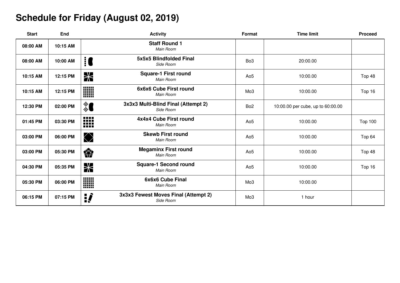### **Schedule for Friday (August 02, 2019)**

| <b>Start</b> | End      | <b>Activity</b>                                               | Format          | <b>Time limit</b>                 | <b>Proceed</b> |
|--------------|----------|---------------------------------------------------------------|-----------------|-----------------------------------|----------------|
| 08:00 AM     | 10:15 AM | <b>Staff Round 1</b><br>Main Room                             |                 |                                   |                |
| 08:00 AM     | 10:00 AM | 5x5x5 Blindfolded Final<br>$\vdots$<br>Side Room              | Bo <sub>3</sub> | 20:00.00                          |                |
| 10:15 AM     | 12:15 PM | <b>Square-1 First round</b><br><b>X</b><br>Main Room          | Ao <sub>5</sub> | 10:00.00                          | Top 48         |
| 10:15 AM     | 12:15 PM | <b>WWW</b><br>6x6x6 Cube First round<br>Main Room<br>HM       | Mo <sub>3</sub> | 10:00.00                          | Top 16         |
| 12:30 PM     | 02:00 PM | 3x3x3 Multi-Blind Final (Attempt 2)<br>ै<br>Side Room         | Bo <sub>2</sub> | 10:00.00 per cube, up to 60:00.00 |                |
| 01:45 PM     | 03:30 PM | W<br>4x4x4 Cube First round<br>Main Room                      | Ao <sub>5</sub> | 10:00.00                          | <b>Top 100</b> |
| 03:00 PM     | 06:00 PM | <b>Skewb First round</b><br>$\bigcirc$<br>Main Room           | Ao <sub>5</sub> | 10:00.00                          | Top 64         |
| 03:00 PM     | 05:30 PM | <b>Megaminx First round</b><br>樂<br>Main Room                 | Ao <sub>5</sub> | 10:00.00                          | Top 48         |
| 04:30 PM     | 05:35 PM | <b>Square-1 Second round</b><br><b>X</b><br>Main Room         | Ao <sub>5</sub> | 10:00.00                          | Top 16         |
| 05:30 PM     | 06:00 PM | W<br>6x6x6 Cube Final<br>Main Room                            | Mo <sub>3</sub> | 10:00.00                          |                |
| 06:15 PM     | 07:15 PM | 3x3x3 Fewest Moves Final (Attempt 2)<br><u>:</u><br>Side Room | Mo <sub>3</sub> | 1 hour                            |                |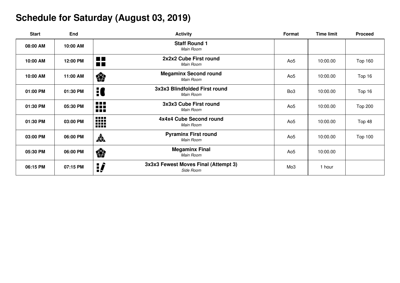# **Schedule for Saturday (August 03, 2019)**

| <b>Start</b> | End      |                                 | <b>Activity</b>                                   | Format          | <b>Time limit</b> | <b>Proceed</b> |
|--------------|----------|---------------------------------|---------------------------------------------------|-----------------|-------------------|----------------|
| 08:00 AM     | 10:00 AM |                                 | <b>Staff Round 1</b><br>Main Room                 |                 |                   |                |
| 10:00 AM     | 12:00 PM | <b>The Co</b><br>$\blacksquare$ | 2x2x2 Cube First round<br>Main Room               | Ao <sub>5</sub> | 10:00.00          | <b>Top 160</b> |
| 10:00 AM     | 11:00 AM | 樂                               | <b>Megaminx Second round</b><br>Main Room         | Ao <sub>5</sub> | 10:00.00          | Top 16         |
| 01:00 PM     | 01:30 PM | H                               | 3x3x3 Blindfolded First round<br>Main Room        | Bo <sub>3</sub> | 10:00.00          | Top 16         |
| 01:30 PM     | 05:30 PM | 88<br><b>A</b> 2019             | 3x3x3 Cube First round<br>Main Room               | Ao <sub>5</sub> | 10:00.00          | <b>Top 200</b> |
| 01:30 PM     | 03:00 PM | ₩                               | 4x4x4 Cube Second round<br>Main Room              | Ao <sub>5</sub> | 10:00.00          | Top 48         |
| 03:00 PM     | 06:00 PM | $\frac{1}{\sqrt{2}}$            | <b>Pyraminx First round</b><br>Main Room          | Ao <sub>5</sub> | 10:00.00          | <b>Top 100</b> |
| 05:30 PM     | 06:00 PM | 《                               | <b>Megaminx Final</b><br>Main Room                | Ao <sub>5</sub> | 10:00.00          |                |
| 06:15 PM     | 07:15 PM | ij                              | 3x3x3 Fewest Moves Final (Attempt 3)<br>Side Room | Mo <sub>3</sub> | 1 hour            |                |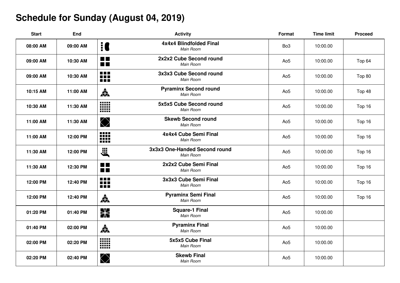# **Schedule for Sunday (August 04, 2019)**

| <b>Start</b> | <b>End</b> |                                  | <b>Activity</b>                            | Format          | <b>Time limit</b> | <b>Proceed</b> |
|--------------|------------|----------------------------------|--------------------------------------------|-----------------|-------------------|----------------|
| 08:00 AM     | 09:00 AM   | <b>i</b>                         | 4x4x4 Blindfolded Final<br>Main Room       | Bo <sub>3</sub> | 10:00.00          |                |
| 09:00 AM     | 10:30 AM   | $\blacksquare$<br>$\blacksquare$ | 2x2x2 Cube Second round<br>Main Room       | Ao <sub>5</sub> | 10:00.00          | Top 64         |
| 09:00 AM     | 10:30 AM   | 88<br>FFF                        | 3x3x3 Cube Second round<br>Main Room       | Ao <sub>5</sub> | 10:00.00          | Top 80         |
| 10:15 AM     | 11:00 AM   | 森                                | <b>Pyraminx Second round</b><br>Main Room  | Ao <sub>5</sub> | 10:00.00          | Top 48         |
| 10:30 AM     | 11:30 AM   | W                                | 5x5x5 Cube Second round<br>Main Room       | Ao <sub>5</sub> | 10:00.00          | Top 16         |
| 11:00 AM     | 11:30 AM   | $\bigotimes$                     | <b>Skewb Second round</b><br>Main Room     | Ao <sub>5</sub> | 10:00.00          | Top 16         |
| 11:00 AM     | 12:00 PM   | W                                | 4x4x4 Cube Semi Final<br>Main Room         | Ao <sub>5</sub> | 10:00.00          | Top 16         |
| 11:30 AM     | 12:00 PM   | <b>Elle</b>                      | 3x3x3 One-Handed Second round<br>Main Room | Ao <sub>5</sub> | 10:00.00          | Top 16         |
| 11:30 AM     | 12:30 PM   | $\blacksquare$<br><b>MIL</b>     | 2x2x2 Cube Semi Final<br>Main Room         | Ao <sub>5</sub> | 10:00.00          | Top 16         |
| 12:00 PM     | 12:40 PM   | <b>.</b><br>m                    | 3x3x3 Cube Semi Final<br>Main Room         | Ao <sub>5</sub> | 10:00.00          | Top 16         |
| 12:00 PM     | 12:40 PM   | 森                                | <b>Pyraminx Semi Final</b><br>Main Room    | Ao <sub>5</sub> | 10:00.00          | Top 16         |
| 01:20 PM     | 01:40 PM   | <b>X</b>                         | <b>Square-1 Final</b><br>Main Room         | Ao <sub>5</sub> | 10:00.00          |                |
| 01:40 PM     | 02:00 PM   | 森                                | <b>Pyraminx Final</b><br>Main Room         | Ao <sub>5</sub> | 10:00.00          |                |
| 02:00 PM     | 02:20 PM   | W                                | 5x5x5 Cube Final<br>Main Room              | Ao <sub>5</sub> | 10:00.00          |                |
| 02:20 PM     | 02:40 PM   | $\bigotimes$                     | <b>Skewb Final</b><br>Main Room            | Ao <sub>5</sub> | 10:00.00          |                |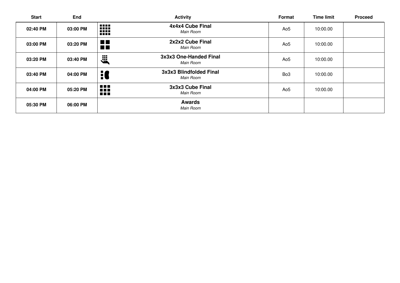| <b>Start</b> | End      | <b>Activity</b>                                                                 | Format          | <b>Time limit</b> | <b>Proceed</b> |
|--------------|----------|---------------------------------------------------------------------------------|-----------------|-------------------|----------------|
| 02:40 PM     | 03:00 PM | 4x4x4 Cube Final<br><b>BEER</b><br>W<br>Main Room                               | Ao <sub>5</sub> | 10:00.00          |                |
| 03:00 PM     | 03:20 PM | 2x2x2 Cube Final<br>$\blacksquare$<br><b>TILL</b><br>Main Room                  | Ao <sub>5</sub> | 10:00.00          |                |
| 03:20 PM     | 03:40 PM | 3x3x3 One-Handed Final<br>Ë,<br>Main Room                                       | Ao5             | 10:00.00          |                |
| 03:40 PM     | 04:00 PM | 3x3x3 Blindfolded Final<br>H<br>Main Room                                       | Bo <sub>3</sub> | 10:00.00          |                |
| 04:00 PM     | 05:20 PM | <b>A</b> 2019<br>3x3x3 Cube Final<br><b>BRIT</b><br>Main Room<br>$\blacksquare$ | Ao <sub>5</sub> | 10:00.00          |                |
| 05:30 PM     | 06:00 PM | <b>Awards</b><br>Main Room                                                      |                 |                   |                |